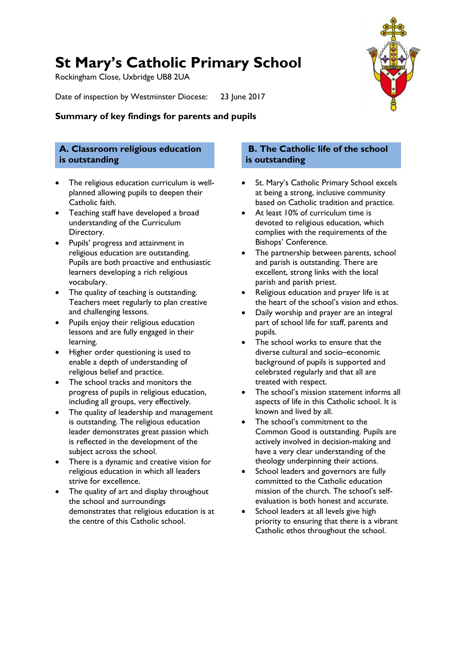# **St Mary's Catholic Primary School**

Rockingham Close, Uxbridge UB8 2UA

Date of inspection by Westminster Diocese: 23 June 2017



## **A. Classroom religious education is outstanding**

- The religious education curriculum is wellplanned allowing pupils to deepen their Catholic faith.
- Teaching staff have developed a broad understanding of the Curriculum Directory.
- Pupils' progress and attainment in religious education are outstanding. Pupils are both proactive and enthusiastic learners developing a rich religious vocabulary.
- The quality of teaching is outstanding. Teachers meet regularly to plan creative and challenging lessons.
- Pupils enjoy their religious education lessons and are fully engaged in their learning.
- Higher order questioning is used to enable a depth of understanding of religious belief and practice.
- The school tracks and monitors the progress of pupils in religious education, including all groups, very effectively.
- The quality of leadership and management is outstanding. The religious education leader demonstrates great passion which is reflected in the development of the subject across the school.
- There is a dynamic and creative vision for religious education in which all leaders strive for excellence.
- The quality of art and display throughout the school and surroundings demonstrates that religious education is at the centre of this Catholic school.

## **B. The Catholic life of the school is outstanding**

- St. Mary's Catholic Primary School excels at being a strong, inclusive community based on Catholic tradition and practice.
- At least 10% of curriculum time is devoted to religious education, which complies with the requirements of the Bishops' Conference.
- The partnership between parents, school and parish is outstanding. There are excellent, strong links with the local parish and parish priest.
- Religious education and prayer life is at the heart of the school's vision and ethos.
- Daily worship and prayer are an integral part of school life for staff, parents and pupils.
- The school works to ensure that the diverse cultural and socio–economic background of pupils is supported and celebrated regularly and that all are treated with respect.
- The school's mission statement informs all aspects of life in this Catholic school. It is known and lived by all.
- The school's commitment to the Common Good is outstanding. Pupils are actively involved in decision-making and have a very clear understanding of the theology underpinning their actions.
- School leaders and governors are fully committed to the Catholic education mission of the church. The school's selfevaluation is both honest and accurate.
- School leaders at all levels give high priority to ensuring that there is a vibrant Catholic ethos throughout the school.

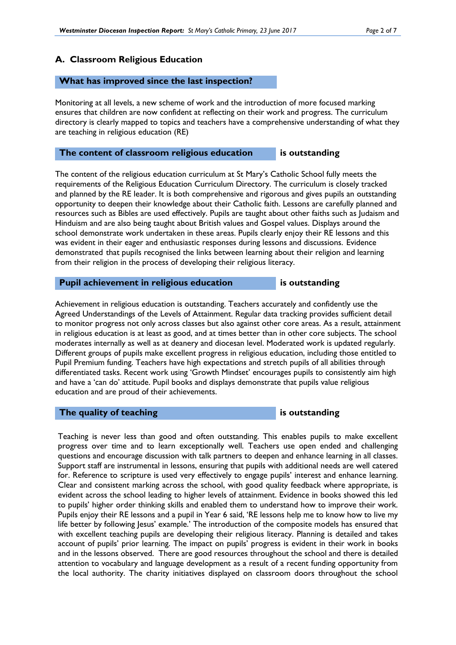#### **A. Classroom Religious Education**

#### **What has improved since the last inspection?**

Monitoring at all levels, a new scheme of work and the introduction of more focused marking ensures that children are now confident at reflecting on their work and progress. The curriculum directory is clearly mapped to topics and teachers have a comprehensive understanding of what they are teaching in religious education (RE)

#### **The content of classroom religious education is outstanding**

The content of the religious education curriculum at St Mary's Catholic School fully meets the requirements of the Religious Education Curriculum Directory. The curriculum is closely tracked and planned by the RE leader. It is both comprehensive and rigorous and gives pupils an outstanding opportunity to deepen their knowledge about their Catholic faith. Lessons are carefully planned and resources such as Bibles are used effectively. Pupils are taught about other faiths such as Judaism and Hinduism and are also being taught about British values and Gospel values. Displays around the school demonstrate work undertaken in these areas. Pupils clearly enjoy their RE lessons and this was evident in their eager and enthusiastic responses during lessons and discussions. Evidence demonstrated that pupils recognised the links between learning about their religion and learning from their religion in the process of developing their religious literacy.

#### **Pupil achievement in religious education** is outstanding

Achievement in religious education is outstanding. Teachers accurately and confidently use the Agreed Understandings of the Levels of Attainment. Regular data tracking provides sufficient detail to monitor progress not only across classes but also against other core areas. As a result, attainment in religious education is at least as good, and at times better than in other core subjects. The school moderates internally as well as at deanery and diocesan level. Moderated work is updated regularly. Different groups of pupils make excellent progress in religious education, including those entitled to Pupil Premium funding. Teachers have high expectations and stretch pupils of all abilities through differentiated tasks. Recent work using 'Growth Mindset' encourages pupils to consistently aim high and have a 'can do' attitude. Pupil books and displays demonstrate that pupils value religious education and are proud of their achievements.

#### **The quality of teaching is outstanding**

Teaching is never less than good and often outstanding. This enables pupils to make excellent progress over time and to learn exceptionally well. Teachers use open ended and challenging questions and encourage discussion with talk partners to deepen and enhance learning in all classes. Support staff are instrumental in lessons, ensuring that pupils with additional needs are well catered for. Reference to scripture is used very effectively to engage pupils' interest and enhance learning. Clear and consistent marking across the school, with good quality feedback where appropriate, is evident across the school leading to higher levels of attainment. Evidence in books showed this led to pupils' higher order thinking skills and enabled them to understand how to improve their work. Pupils enjoy their RE lessons and a pupil in Year 6 said, 'RE lessons help me to know how to live my life better by following Jesus' example.' The introduction of the composite models has ensured that with excellent teaching pupils are developing their religious literacy. Planning is detailed and takes account of pupils' prior learning. The impact on pupils' progress is evident in their work in books and in the lessons observed. There are good resources throughout the school and there is detailed attention to vocabulary and language development as a result of a recent funding opportunity from the local authority. The charity initiatives displayed on classroom doors throughout the school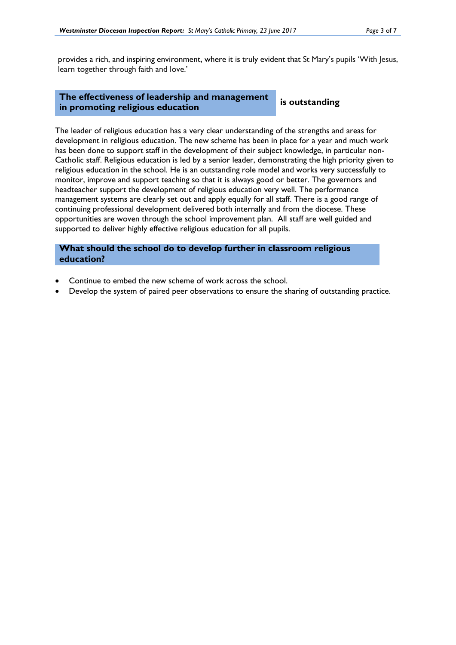provides a rich, and inspiring environment, where it is truly evident that St Mary's pupils 'With Jesus, learn together through faith and love.'

#### **The effectiveness of leadership and management in promoting religious education is outstanding**

The leader of religious education has a very clear understanding of the strengths and areas for development in religious education. The new scheme has been in place for a year and much work has been done to support staff in the development of their subject knowledge, in particular non-Catholic staff. Religious education is led by a senior leader, demonstrating the high priority given to religious education in the school. He is an outstanding role model and works very successfully to monitor, improve and support teaching so that it is always good or better. The governors and headteacher support the development of religious education very well. The performance management systems are clearly set out and apply equally for all staff. There is a good range of continuing professional development delivered both internally and from the diocese. These opportunities are woven through the school improvement plan. All staff are well guided and supported to deliver highly effective religious education for all pupils.

**What should the school do to develop further in classroom religious education?**

- Continue to embed the new scheme of work across the school.
- Develop the system of paired peer observations to ensure the sharing of outstanding practice.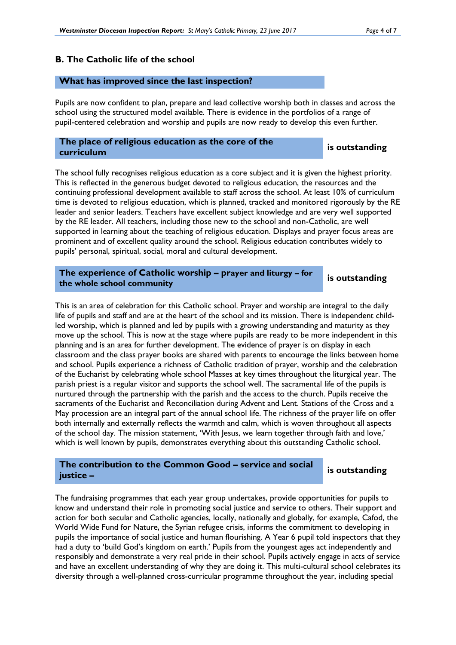#### **B. The Catholic life of the school**

#### **What has improved since the last inspection?**

Pupils are now confident to plan, prepare and lead collective worship both in classes and across the school using the structured model available. There is evidence in the portfolios of a range of pupil-centered celebration and worship and pupils are now ready to develop this even further.

# **The place of religious education as the core of the curriculum is outstanding**

The school fully recognises religious education as a core subject and it is given the highest priority. This is reflected in the generous budget devoted to religious education, the resources and the continuing professional development available to staff across the school. At least 10% of curriculum time is devoted to religious education, which is planned, tracked and monitored rigorously by the RE leader and senior leaders. Teachers have excellent subject knowledge and are very well supported by the RE leader. All teachers, including those new to the school and non-Catholic, are well supported in learning about the teaching of religious education. Displays and prayer focus areas are prominent and of excellent quality around the school. Religious education contributes widely to pupils' personal, spiritual, social, moral and cultural development.

**The experience of Catholic worship – prayer and liturgy – for the whole school community is outstanding**

This is an area of celebration for this Catholic school. Prayer and worship are integral to the daily life of pupils and staff and are at the heart of the school and its mission. There is independent childled worship, which is planned and led by pupils with a growing understanding and maturity as they move up the school. This is now at the stage where pupils are ready to be more independent in this planning and is an area for further development. The evidence of prayer is on display in each classroom and the class prayer books are shared with parents to encourage the links between home and school. Pupils experience a richness of Catholic tradition of prayer, worship and the celebration of the Eucharist by celebrating whole school Masses at key times throughout the liturgical year. The parish priest is a regular visitor and supports the school well. The sacramental life of the pupils is nurtured through the partnership with the parish and the access to the church. Pupils receive the sacraments of the Eucharist and Reconciliation during Advent and Lent. Stations of the Cross and a May procession are an integral part of the annual school life. The richness of the prayer life on offer both internally and externally reflects the warmth and calm, which is woven throughout all aspects of the school day. The mission statement, 'With Jesus, we learn together through faith and love,' which is well known by pupils, demonstrates everything about this outstanding Catholic school.

## **The contribution to the Common Good – service and social justice –**

#### **is outstanding**

The fundraising programmes that each year group undertakes, provide opportunities for pupils to know and understand their role in promoting social justice and service to others. Their support and action for both secular and Catholic agencies, locally, nationally and globally, for example, Cafod, the World Wide Fund for Nature, the Syrian refugee crisis, informs the commitment to developing in pupils the importance of social justice and human flourishing. A Year 6 pupil told inspectors that they had a duty to 'build God's kingdom on earth.' Pupils from the youngest ages act independently and responsibly and demonstrate a very real pride in their school. Pupils actively engage in acts of service and have an excellent understanding of why they are doing it. This multi-cultural school celebrates its diversity through a well-planned cross-curricular programme throughout the year, including special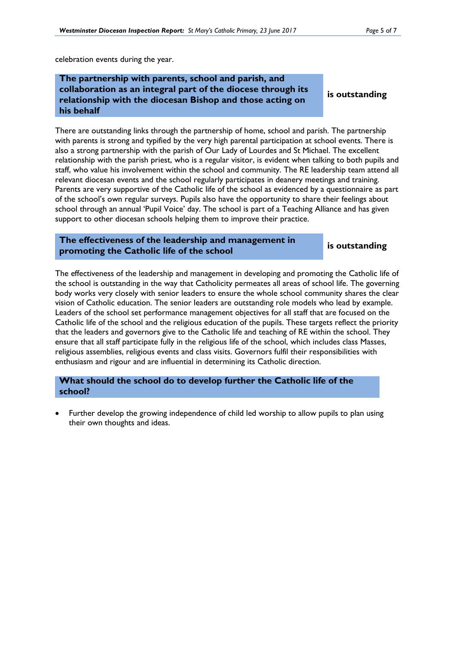celebration events during the year.

## **The partnership with parents, school and parish, and collaboration as an integral part of the diocese through its relationship with the diocesan Bishop and those acting on his behalf**

**is outstanding**

There are outstanding links through the partnership of home, school and parish. The partnership with parents is strong and typified by the very high parental participation at school events. There is also a strong partnership with the parish of Our Lady of Lourdes and St Michael. The excellent relationship with the parish priest, who is a regular visitor, is evident when talking to both pupils and staff, who value his involvement within the school and community. The RE leadership team attend all relevant diocesan events and the school regularly participates in deanery meetings and training. Parents are very supportive of the Catholic life of the school as evidenced by a questionnaire as part of the school's own regular surveys. Pupils also have the opportunity to share their feelings about school through an annual 'Pupil Voice' day. The school is part of a Teaching Alliance and has given support to other diocesan schools helping them to improve their practice.

#### **The effectiveness of the leadership and management in promoting the Catholic life of the school is** outstanding

The effectiveness of the leadership and management in developing and promoting the Catholic life of the school is outstanding in the way that Catholicity permeates all areas of school life. The governing body works very closely with senior leaders to ensure the whole school community shares the clear vision of Catholic education. The senior leaders are outstanding role models who lead by example. Leaders of the school set performance management objectives for all staff that are focused on the Catholic life of the school and the religious education of the pupils. These targets reflect the priority that the leaders and governors give to the Catholic life and teaching of RE within the school. They ensure that all staff participate fully in the religious life of the school, which includes class Masses, religious assemblies, religious events and class visits. Governors fulfil their responsibilities with enthusiasm and rigour and are influential in determining its Catholic direction.

### **What should the school do to develop further the Catholic life of the school?**

 Further develop the growing independence of child led worship to allow pupils to plan using their own thoughts and ideas.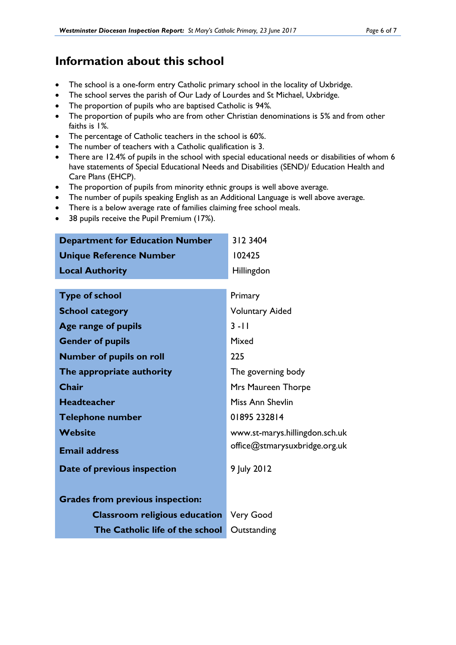## **Information about this school**

- The school is a one-form entry Catholic primary school in the locality of Uxbridge.
- The school serves the parish of Our Lady of Lourdes and St Michael, Uxbridge.
- The proportion of pupils who are baptised Catholic is 94*%.*
- The proportion of pupils who are from other Christian denominations is 5*%* and from other faiths is 1*%*.
- The percentage of Catholic teachers in the school is 60*%*.
- The number of teachers with a Catholic qualification is 3.
- There are 12.4% of pupils in the school with special educational needs or disabilities of whom 6 have statements of Special Educational Needs and Disabilities (SEND)/ Education Health and Care Plans (EHCP).
- The proportion of pupils from minority ethnic groups is well above average.
- The number of pupils speaking English as an Additional Language is well above average.
- There is a below average rate of families claiming free school meals.
- 38 pupils receive the Pupil Premium (17%).

| <b>Department for Education Number</b>  | 312 3404                       |
|-----------------------------------------|--------------------------------|
| <b>Unique Reference Number</b>          | 102425                         |
| <b>Local Authority</b>                  | Hillingdon                     |
|                                         |                                |
| <b>Type of school</b>                   | Primary                        |
| <b>School category</b>                  | <b>Voluntary Aided</b>         |
| Age range of pupils                     | $3 - 11$                       |
| <b>Gender of pupils</b>                 | Mixed                          |
| <b>Number of pupils on roll</b>         | 225                            |
| The appropriate authority               | The governing body             |
| <b>Chair</b>                            | Mrs Maureen Thorpe             |
| <b>Headteacher</b>                      | Miss Ann Shevlin               |
| <b>Telephone number</b>                 | 01895 232814                   |
| <b>Website</b>                          | www.st-marys.hillingdon.sch.uk |
| <b>Email address</b>                    | office@stmarysuxbridge.org.uk  |
| Date of previous inspection             | 9 July 2012                    |
|                                         |                                |
| <b>Grades from previous inspection:</b> |                                |
| <b>Classroom religious education</b>    | <b>Very Good</b>               |
| The Catholic life of the school         | Outstanding                    |
|                                         |                                |